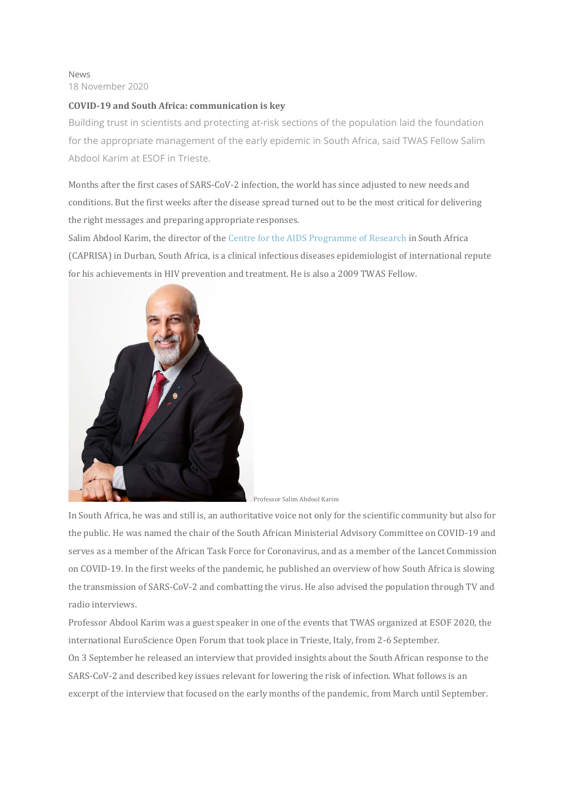#### News 18 November 2020

### **COVID-19 and South Africa: communication is key**

Building trust in scientists and protecting at-risk sections of the population laid the foundation for the appropriate management of the early epidemic in South Africa, said TWAS Fellow Salim Abdool Karim at ESOF in Trieste.

Months after the first cases of SARS-CoV-2 infection, the world has since adjusted to new needs and conditions. But the first weeks after the disease spread turned out to be the most critical for delivering the right messages and preparing appropriate responses.

Salim Abdool Karim, the director of the Centre for the AIDS [Programme](http://www.caprisa.org/) of Research in South Africa (CAPRISA) in Durban, South Africa, is a clinical infectious diseases epidemiologist of international repute for his achievements in HIV prevention and treatment. He is also a 2009 TWAS Fellow.



In South Africa, he was and still is, an authoritative voice not only for the scientific community but also for the public. He was named the chair of the South African Ministerial Advisory Committee on COVID-19 and serves as a member of the African Task Force for Coronavirus, and as a member of the Lancet Commission on COVID-19. In the first weeks of the pandemic, he published an overview of how South Africa is slowing the transmission of SARS-CoV-2 and combatting the virus. He also advised the population through TV and radio interviews.

Professor Abdool Karim was a guest speaker in one of the events that TWAS organized at ESOF 2020, the international EuroScience Open Forum that took place in Trieste, Italy, from 2-6 September. On 3 September he released an interview that provided insights about the South African response to the SARS-CoV-2 and described key issues relevant for lowering the risk of infection. What follows is an excerpt of the interview that focused on the early months of the pandemic, from March until September.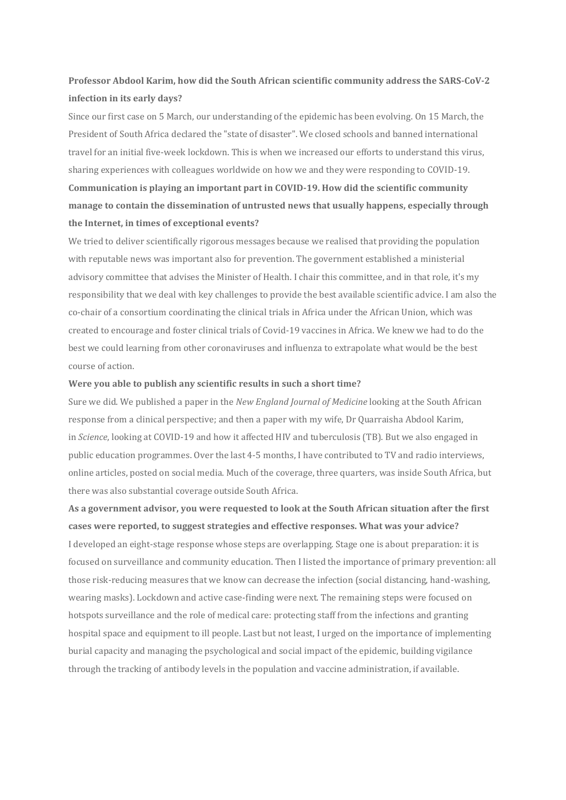## **Professor Abdool Karim, how did the South African scientific community address the SARS-CoV-2 infection in its early days?**

Since our first case on 5 March, our understanding of the epidemic has been evolving. On 15 March, the President of South Africa declared the "state of disaster". We closed schools and banned international travel for an initial five-week lockdown. This is when we increased our efforts to understand this virus, sharing experiences with colleagues worldwide on how we and they were responding to COVID-19. **Communication is playing an important part in COVID-19. How did the scientific community manage to contain the dissemination of untrusted news that usually happens, especially through the Internet, in times of exceptional events?**

We tried to deliver scientifically rigorous messages because we realised that providing the population with reputable news was important also for prevention. The government established a ministerial advisory committee that advises the Minister of Health. I chair this committee, and in that role, it's my responsibility that we deal with key challenges to provide the best available scientific advice. I am also the co-chair of a consortium coordinating the clinical trials in Africa under the African Union, which was created to encourage and foster clinical trials of Covid-19 vaccines in Africa. We knew we had to do the best we could learning from other coronaviruses and influenza to extrapolate what would be the best course of action.

#### **Were you able to publish any scientific results in such a short time?**

Sure we did. We published a paper in the *New England Journal of Medicine* looking at the South African response from a clinical perspective; and then a paper with my wife, Dr Quarraisha Abdool Karim, in *Science*, looking at COVID-19 and how it affected HIV and tuberculosis (TB). But we also engaged in public education programmes. Over the last 4-5 months, I have contributed to TV and radio interviews, online articles, posted on social media. Much of the coverage, three quarters, was inside South Africa, but there was also substantial coverage outside South Africa.

**As a government advisor, you were requested to look at the South African situation after the first cases were reported, to suggest strategies and effective responses. What was your advice?** I developed an eight-stage response whose steps are overlapping. Stage one is about preparation: it is focused on surveillance and community education. Then I listed the importance of primary prevention: all those risk-reducing measures that we know can decrease the infection (social distancing, hand-washing, wearing masks). Lockdown and active case-finding were next. The remaining steps were focused on hotspots surveillance and the role of medical care: protecting staff from the infections and granting hospital space and equipment to ill people. Last but not least, I urged on the importance of implementing burial capacity and managing the psychological and social impact of the epidemic, building vigilance through the tracking of antibody levels in the population and vaccine administration, if available.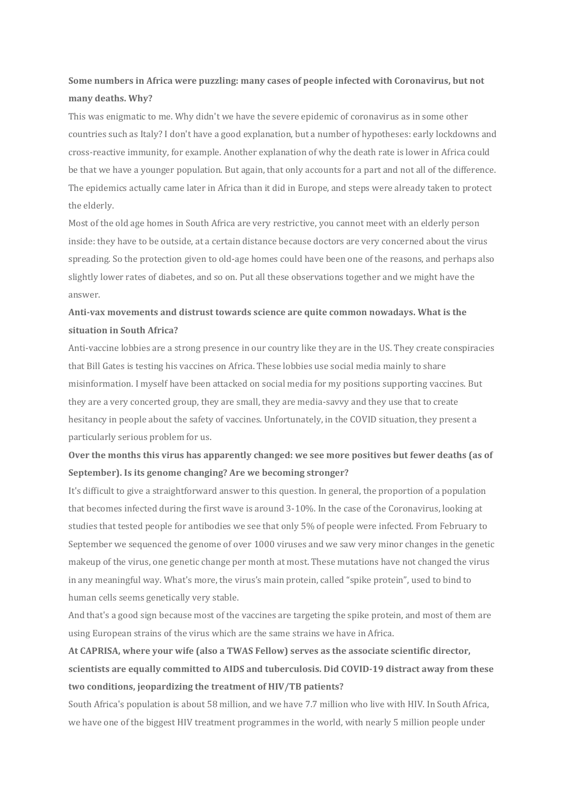# **Some numbers in Africa were puzzling: many cases of people infected with Coronavirus, but not many deaths. Why?**

This was enigmatic to me. Why didn't we have the severe epidemic of coronavirus as in some other countries such as Italy? I don't have a good explanation, but a number of hypotheses: early lockdowns and cross-reactive immunity, for example. Another explanation of why the death rate is lower in Africa could be that we have a younger population. But again, that only accounts for a part and not all of the difference. The epidemics actually came later in Africa than it did in Europe, and steps were already taken to protect the elderly.

Most of the old age homes in South Africa are very restrictive, you cannot meet with an elderly person inside: they have to be outside, at a certain distance because doctors are very concerned about the virus spreading. So the protection given to old-age homes could have been one of the reasons, and perhaps also slightly lower rates of diabetes, and so on. Put all these observations together and we might have the answer.

### **Anti-vax movements and distrust towards science are quite common nowadays. What is the situation in South Africa?**

Anti-vaccine lobbies are a strong presence in our country like they are in the US. They create conspiracies that Bill Gates is testing his vaccines on Africa. These lobbies use social media mainly to share misinformation. I myself have been attacked on social media for my positions supporting vaccines. But they are a very concerted group, they are small, they are media-savvy and they use that to create hesitancy in people about the safety of vaccines. Unfortunately, in the COVID situation, they present a particularly serious problem for us.

## **Over the months this virus has apparently changed: we see more positives but fewer deaths (as of September). Is its genome changing? Are we becoming stronger?**

It's difficult to give a straightforward answer to this question. In general, the proportion of a population that becomes infected during the first wave is around 3-10%. In the case of the Coronavirus, looking at studies that tested people for antibodies we see that only 5% of people were infected. From February to September we sequenced the genome of over 1000 viruses and we saw very minor changes in the genetic makeup of the virus, one genetic change per month at most. These mutations have not changed the virus in any meaningful way. What's more, the virus's main protein, called "spike protein", used to bind to human cells seems genetically very stable.

And that's a good sign because most of the vaccines are targeting the spike protein, and most of them are using European strains of the virus which are the same strains we have in Africa.

# **At CAPRISA, where your wife (also a TWAS Fellow) serves as the associate scientific director, scientists are equally committed to AIDS and tuberculosis. Did COVID-19 distract away from these two conditions, jeopardizing the treatment of HIV/TB patients?**

South Africa's population is about 58 million, and we have 7.7 million who live with HIV. In South Africa, we have one of the biggest HIV treatment programmes in the world, with nearly 5 million people under